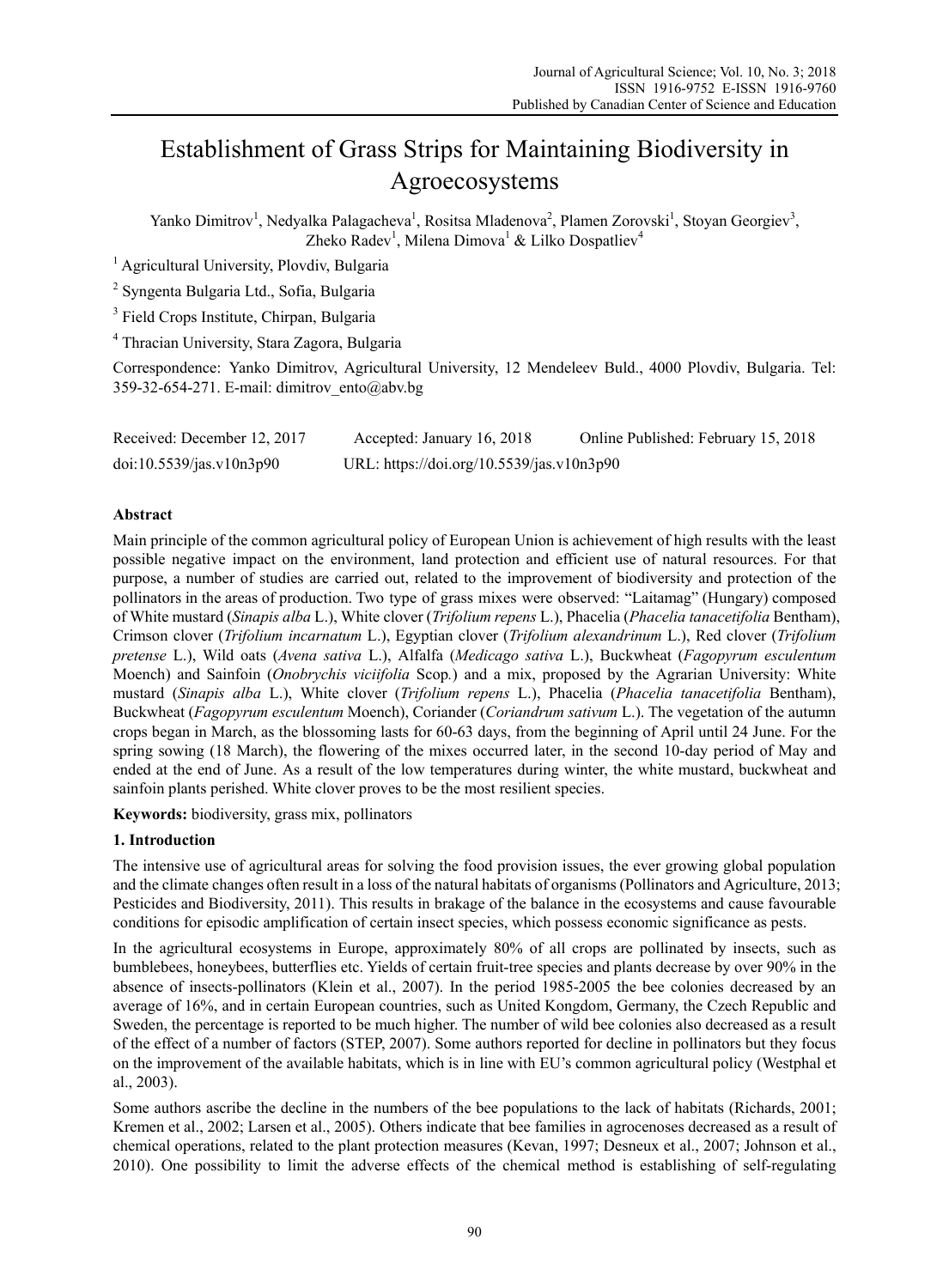# Establishment of Grass Strips for Maintaining Biodiversity in Agroecosystems

Yanko Dimitrov<sup>1</sup>, Nedyalka Palagacheva<sup>1</sup>, Rositsa Mladenova<sup>2</sup>, Plamen Zorovski<sup>1</sup>, Stoyan Georgiev<sup>3</sup>, Zheko Radev<sup>1</sup>, Milena Dimova<sup>1</sup> & Lilko Dospatliev<sup>4</sup>

<sup>1</sup> Agricultural University, Plovdiv, Bulgaria

<sup>2</sup> Syngenta Bulgaria Ltd., Sofia, Bulgaria

<sup>3</sup> Field Crops Institute, Chirpan, Bulgaria

4 Thracian University, Stara Zagora, Bulgaria

Correspondence: Yanko Dimitrov, Agricultural University, 12 Mendeleev Buld., 4000 Plovdiv, Bulgaria. Tel: 359-32-654-271. E-mail: dimitrov\_ento@abv.bg

| Received: December 12, 2017 | Accepted: January 16, 2018                | Online Published: February 15, 2018 |
|-----------------------------|-------------------------------------------|-------------------------------------|
| doi:10.5539/jas.v10n3p90    | URL: https://doi.org/10.5539/jas.v10n3p90 |                                     |

## **Abstract**

Main principle of the common agricultural policy of European Union is achievement of high results with the least possible negative impact on the environment, land protection and efficient use of natural resources. For that purpose, a number of studies are carried out, related to the improvement of biodiversity and protection of the pollinators in the areas of production. Two type of grass mixes were observed: "Laitamag" (Hungary) composed of White mustard (*Sinapis alba* L.), White clover (*Trifolium repens* L.), Phacelia (*Phacelia tanacetifolia* Bentham), Crimson clover (*Trifolium incarnatum* L.), Egyptian clover (*Trifolium alexandrinum* L.), Red clover (*Trifolium pretense* L.), Wild oats (*Avena sativa* L.), Alfalfa (*Medicago sativa* L.), Buckwheat (*Fagopyrum esculentum*  Moench) and Sainfoin (*Onobrychis viciifolia* Scop*.*) and a mix, proposed by the Agrarian University: White mustard (*Sinapis alba* L.), White clover (*Trifolium repens* L.), Phacelia (*Phacelia tanacetifolia* Bentham), Buckwheat (*Fagopyrum esculentum* Moench), Coriander (*Coriandrum sativum* L.). The vegetation of the autumn crops began in March, as the blossoming lasts for 60-63 days, from the beginning of April until 24 June. For the spring sowing (18 March), the flowering of the mixes occurred later, in the second 10-day period of May and ended at the end of June. As a result of the low temperatures during winter, the white mustard, buckwheat and sainfoin plants perished. White clover proves to be the most resilient species.

**Keywords:** biodiversity, grass mix, pollinators

## **1. Introduction**

The intensive use of agricultural areas for solving the food provision issues, the ever growing global population and the climate changes often result in a loss of the natural habitats of organisms (Pollinators and Agriculture, 2013; Pesticides and Biodiversity, 2011). This results in brakage of the balance in the ecosystems and cause favourable conditions for episodic amplification of certain insect species, which possess economic significance as pests.

In the agricultural ecosystems in Europe, approximately 80% of all crops are pollinated by insects, such as bumblebees, honeybees, butterflies etc. Yields of certain fruit-tree species and plants decrease by over 90% in the absence of insects-pollinators (Klein et al., 2007). In the period 1985-2005 the bee colonies decreased by an average of 16%, and in certain European countries, such as United Kongdom, Germany, the Czech Republic and Sweden, the percentage is reported to be much higher. The number of wild bee colonies also decreased as a result of the effect of a number of factors (STEP, 2007). Some authors reported for decline in pollinators but they focus on the improvement of the available habitats, which is in line with EU's common agricultural policy (Westphal еt al., 2003).

Some authors ascribe the decline in the numbers of the bee populations to the lack of habitats (Richards, 2001; Kremen et al., 2002; Larsen et al., 2005). Others indicate that bee families in agrocenoses decreased as a result of chemical operations, related to the plant protection measures (Kevan, 1997; Desneux et al., 2007; Johnson et al., 2010). One possibility to limit the adverse effects of the chemical method is establishing of self-regulating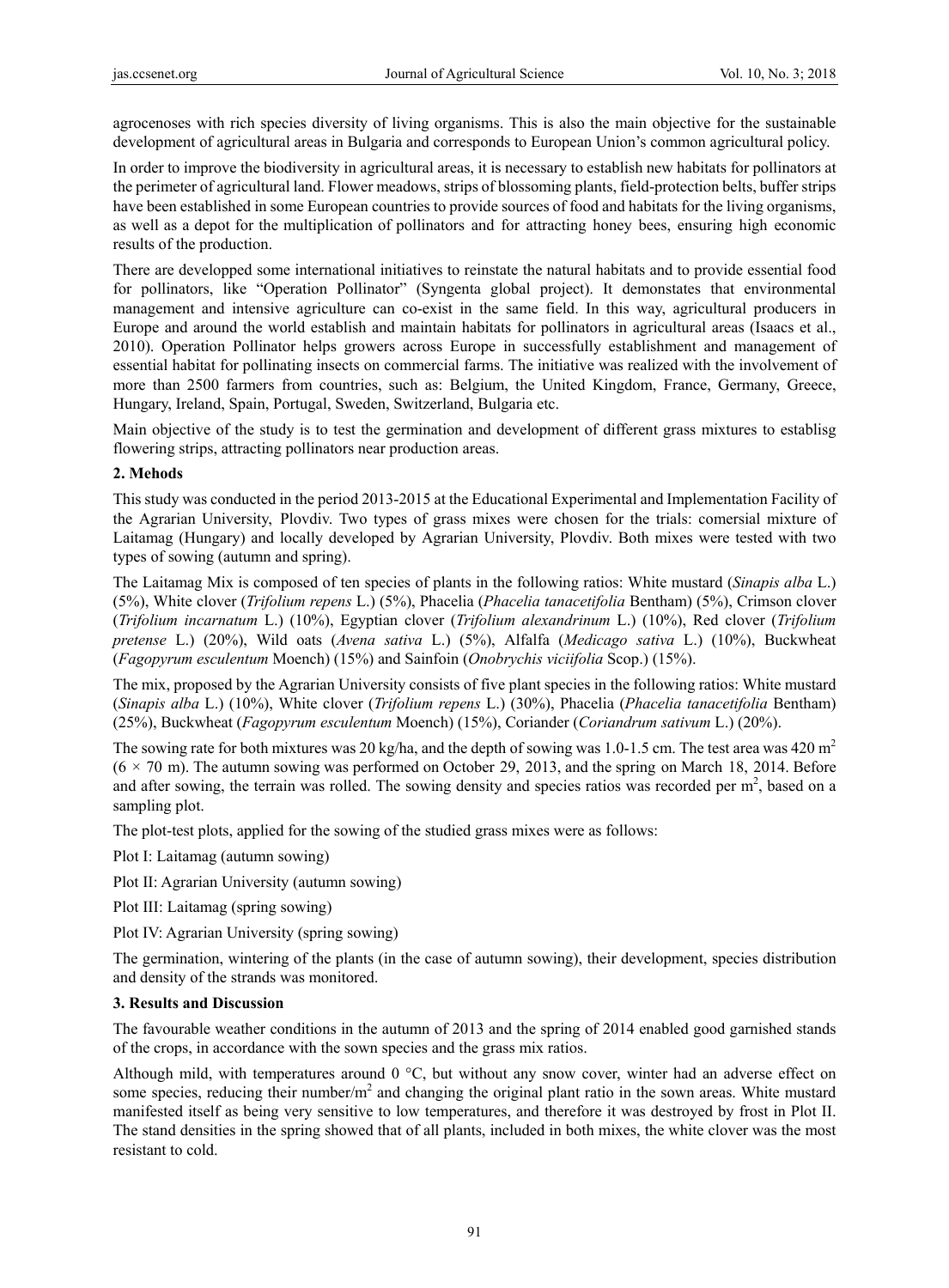agrocenoses with rich species diversity of living organisms. This is also the main objective for the sustainable development of agricultural areas in Bulgaria and corresponds to European Union's common agricultural policy.

In order to improve the biodiversity in agricultural areas, it is necessary to establish new habitats for pollinators at the perimeter of agricultural land. Flower meadows, strips of blossoming plants, field-protection belts, buffer strips have been established in some European countries to provide sources of food and habitats for the living organisms, as well as a depot for the multiplication of pollinators and for attracting honey bees, ensuring high economic results of the production.

There are developped some international initiatives to reinstate the natural habitats and to provide essential food for pollinators, like "Operation Pollinator" (Syngenta global project). It demonstates that environmental management and intensive agriculture can co-exist in the same field. In this way, agricultural producers in Europe and around the world establish and maintain habitats for pollinators in agricultural areas (Isaacs et al., 2010). Operation Pollinator helps growers across Europe in successfully establishment and management of essential habitat for pollinating insects on commercial farms. The initiative was realized with the involvement of more than 2500 farmers from countries, such as: Belgium, the United Kingdom, France, Germany, Greece, Hungary, Ireland, Spain, Portugal, Sweden, Switzerland, Bulgaria etc.

Main objective of the study is to test the germination and development of different grass mixtures to establisg flowering strips, attracting pollinators near production areas.

## **2. Mehods**

This study was conducted in the period 2013-2015 at the Educational Experimental and Implementation Facility of the Agrarian University, Plovdiv. Two types of grass mixes were chosen for the trials: comersial mixture of Laitamag (Hungary) and locally developed by Agrarian University, Plovdiv. Both mixes were tested with two types of sowing (autumn and spring).

The Laitamag Mix is composed of ten species of plants in the following ratios: White mustard (*Sinapis alba* L.) (5%), White clover (*Trifolium repens* L.) (5%), Phacelia (*Phacelia tanacetifolia* Bentham) (5%), Crimson clover (*Trifolium incarnatum* L.) (10%), Egyptian clover (*Trifolium alexandrinum* L.) (10%), Red clover (*Trifolium pretense* L.) (20%), Wild oats (*Avena sativa* L.) (5%), Alfalfa (*Medicago sativa* L.) (10%), Buckwheat (*Fagopyrum esculentum* Moench) (15%) and Sainfoin (*Onobrychis viciifolia* Scop.) (15%).

The mix, proposed by the Agrarian University consists of five plant species in the following ratios: White mustard (*Sinapis alba* L.) (10%), White clover (*Trifolium repens* L.) (30%), Phacelia (*Phacelia tanacetifolia* Bentham) (25%), Buckwheat (*Fagopyrum esculentum* Moench) (15%), Coriander (*Coriandrum sativum* L.) (20%).

The sowing rate for both mixtures was 20 kg/ha, and the depth of sowing was 1.0-1.5 cm. The test area was 420 m<sup>2</sup>  $(6 \times 70 \text{ m})$ . The autumn sowing was performed on October 29, 2013, and the spring on March 18, 2014. Before and after sowing, the terrain was rolled. The sowing density and species ratios was recorded per  $m<sup>2</sup>$ , based on a sampling plot.

The plot-test plots, applied for the sowing of the studied grass mixes were as follows:

Plot I: Laitamag (autumn sowing)

Plot IІ: Agrarian University (autumn sowing)

Plot III: Laitamag (spring sowing)

Plot IV: Agrarian University (spring sowing)

The germination, wintering of the plants (in the case of autumn sowing), their development, species distribution and density of the strands was monitored.

### **3. Results and Discussion**

The favourable weather conditions in the autumn of 2013 and the spring of 2014 enabled good garnished stands of the crops, in accordance with the sown species and the grass mix ratios.

Although mild, with temperatures around 0 °С, but without any snow cover, winter had an adverse effect on some species, reducing their number/ $m<sup>2</sup>$  and changing the original plant ratio in the sown areas. White mustard manifested itself as being very sensitive to low temperatures, and therefore it was destroyed by frost in Plot ІІ. The stand densities in the spring showed that of all plants, included in both mixes, the white clover was the most resistant to cold.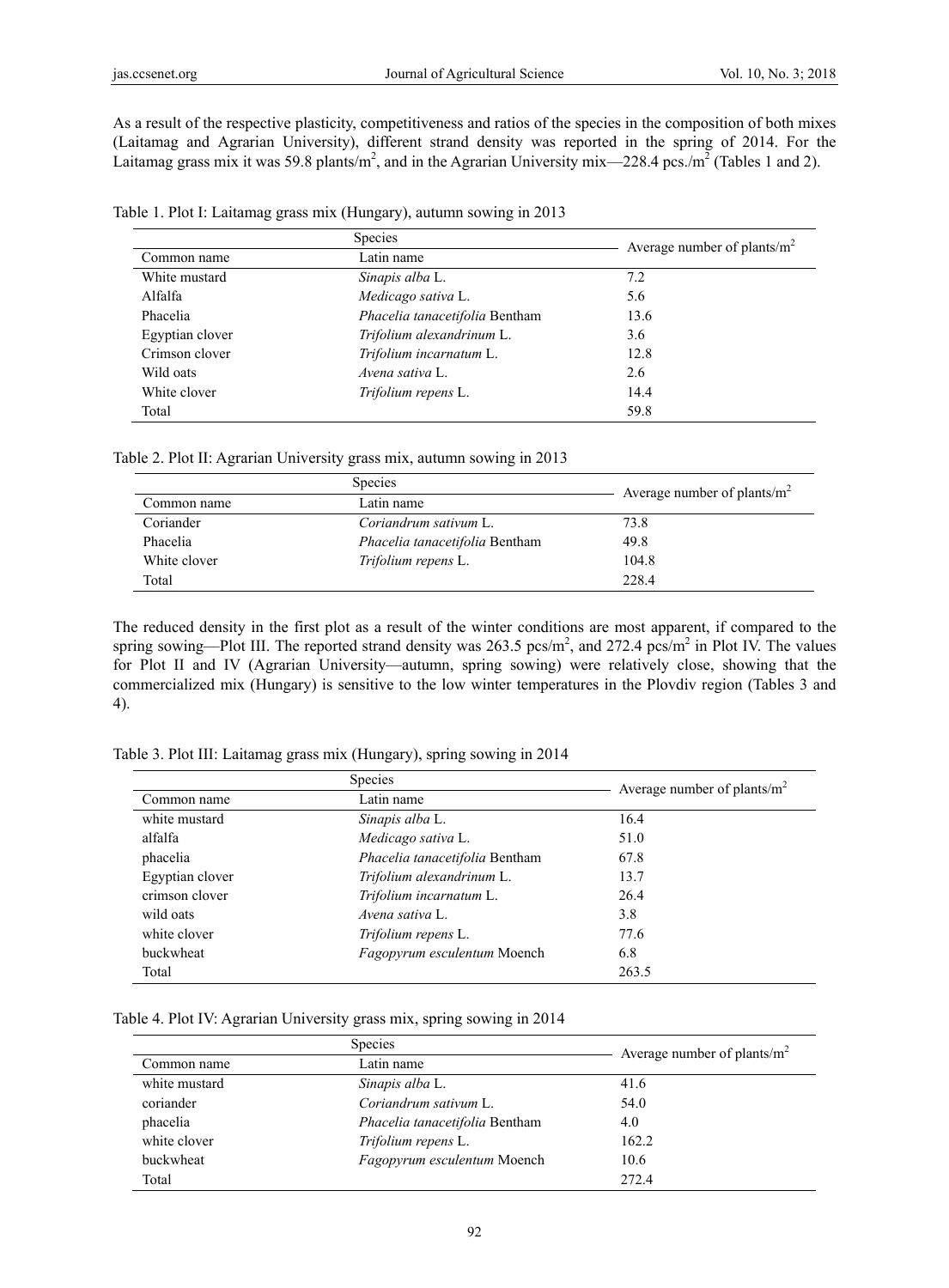As a result of the respective plasticity, competitiveness and ratios of the species in the composition of both mixes (Laitamag and Agrarian University), different strand density was reported in the spring of 2014. For the Laitamag grass mix it was 59.8 plants/ $m^2$ , and in the Agrarian University mix—228.4 pcs./ $m^2$  (Tables 1 and 2).

|  |  | Table 1. Plot I: Laitamag grass mix (Hungary), autumn sowing in 2013 |  |  |
|--|--|----------------------------------------------------------------------|--|--|
|  |  |                                                                      |  |  |

| <b>Species</b>  |                                | Average number of plants/ $m^2$ |
|-----------------|--------------------------------|---------------------------------|
| Common name     | Latin name                     |                                 |
| White mustard   | Sinapis alba L.                | 7.2                             |
| Alfalfa         | Medicago sativa L.             | 5.6                             |
| Phacelia        | Phacelia tanacetifolia Bentham | 13.6                            |
| Egyptian clover | Trifolium alexandrinum L.      | 3.6                             |
| Crimson clover  | Trifolium incarnatum L.        | 12.8                            |
| Wild oats       | Avena sativa L.                | 2.6                             |
| White clover    | Trifolium repens L.            | 14.4                            |
| Total           |                                | 59.8                            |

Table 2. Plot II: Agrarian University grass mix, autumn sowing in 2013

|              | <b>Species</b>                 |                                 |  |
|--------------|--------------------------------|---------------------------------|--|
| Common name  | Latin name                     | Average number of plants/ $m^2$ |  |
| Coriander    | Coriandrum sativum L.          | 73.8                            |  |
| Phacelia     | Phacelia tanacetifolia Bentham | 49.8                            |  |
| White clover | <i>Trifolium repens</i> L.     | 104.8                           |  |
| Total        |                                | 228.4                           |  |

The reduced density in the first plot as a result of the winter conditions are most apparent, if compared to the spring sowing—Plot III. The reported strand density was 263.5 pcs/m<sup>2</sup>, and 272.4 pcs/m<sup>2</sup> in Plot IV. The values for Plot ІІ and IV (Agrarian University—autumn, spring sowing) were relatively close, showing that the commercialized mix (Hungary) is sensitive to the low winter temperatures in the Plovdiv region (Tables 3 and 4).

Table 3. Plot III: Laitamag grass mix (Hungary), spring sowing in 2014

|                 | Species                        | Average number of plants/ $m^2$ |
|-----------------|--------------------------------|---------------------------------|
| Common name     | Latin name                     |                                 |
| white mustard   | Sinapis alba L.                | 16.4                            |
| alfalfa         | Medicago sativa L.             | 51.0                            |
| phacelia        | Phacelia tanacetifolia Bentham | 67.8                            |
| Egyptian clover | Trifolium alexandrinum L.      | 13.7                            |
| crimson clover  | Trifolium incarnatum L.        | 26.4                            |
| wild oats       | Avena sativa L.                | 3.8                             |
| white clover    | Trifolium repens L.            | 77.6                            |
| buckwheat       | Fagopyrum esculentum Moench    | 6.8                             |
| Total           |                                | 263.5                           |

|  |  | Table 4. Plot IV: Agrarian University grass mix, spring sowing in 2014 |  |  |
|--|--|------------------------------------------------------------------------|--|--|
|  |  |                                                                        |  |  |

|               | Species                        | Average number of plants/ $m^2$ |
|---------------|--------------------------------|---------------------------------|
| Common name   | Latin name                     |                                 |
| white mustard | Sinapis alba L.                | 41.6                            |
| coriander     | Coriandrum sativum L.          | 54.0                            |
| phacelia      | Phacelia tanacetifolia Bentham | 4.0                             |
| white clover  | Trifolium repens L.            | 162.2                           |
| buckwheat     | Fagopyrum esculentum Moench    | 10.6                            |
| Total         |                                | 272.4                           |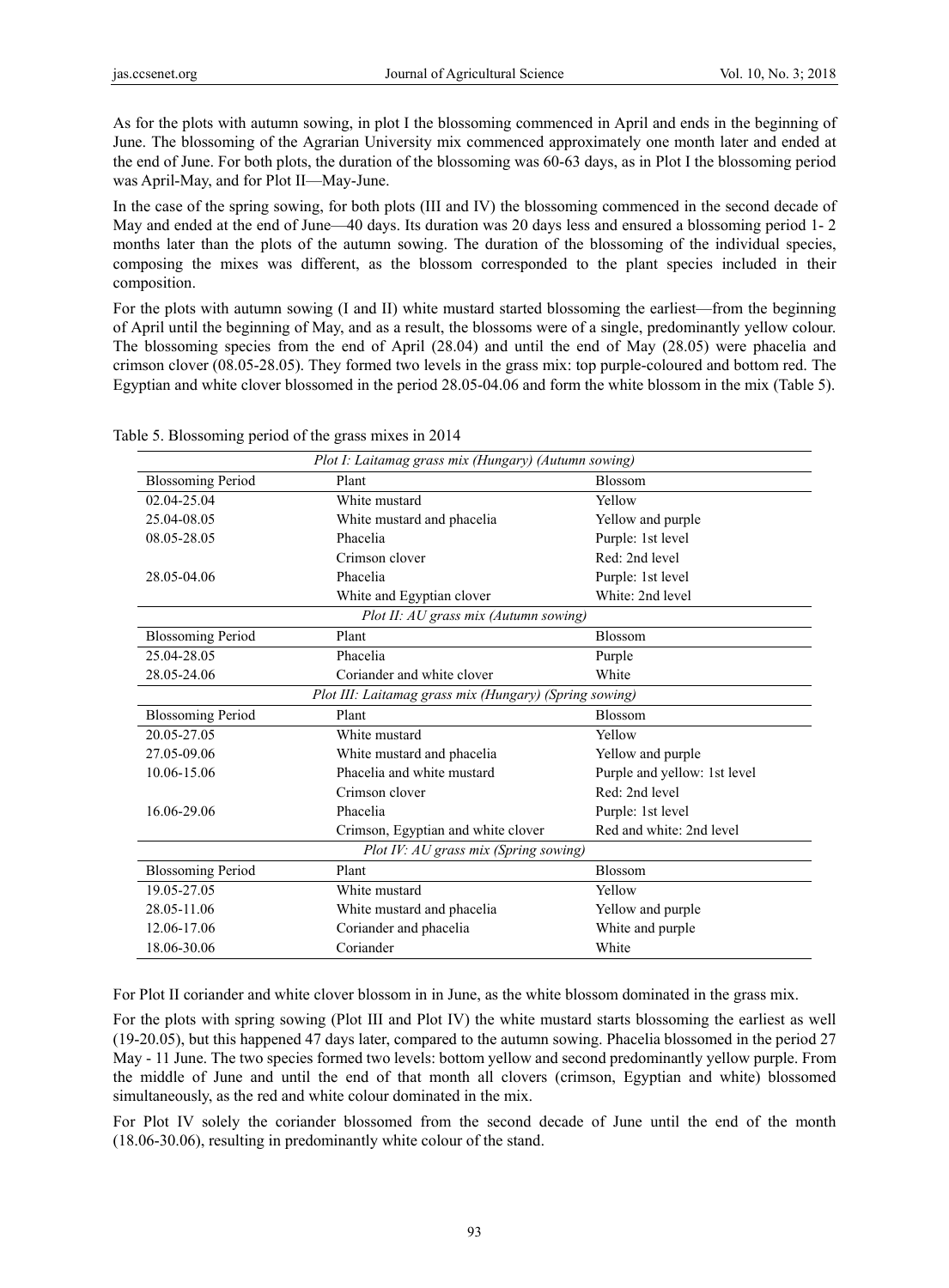As for the plots with autumn sowing, in plot І the blossoming commenced in April and ends in the beginning of June. The blossoming of the Agrarian University mix commenced approximately one month later and ended at the end of June. For both plots, the duration of the blossoming was 60-63 days, as in Plot І the blossoming period was April-May, and for Plot II—May-June.

In the case of the spring sowing, for both plots (ІІІ and ІV) the blossoming commenced in the second decade of May and ended at the end of June—40 days. Its duration was 20 days less and ensured a blossoming period 1- 2 months later than the plots of the autumn sowing. The duration of the blossoming of the individual species, composing the mixes was different, as the blossom corresponded to the plant species included in their composition.

For the plots with autumn sowing (I and II) white mustard started blossoming the earliest—from the beginning of April until the beginning of May, and as a result, the blossoms were of a single, predominantly yellow colour. The blossoming species from the end of April (28.04) and until the end of May (28.05) were phacelia and crimson clover (08.05-28.05). They formed two levels in the grass mix: top purple-coloured and bottom red. The Egyptian and white clover blossomed in the period 28.05-04.06 and form the white blossom in the mix (Table 5).

|                          | Plot I: Laitamag grass mix (Hungary) (Autumn sowing)   |                              |
|--------------------------|--------------------------------------------------------|------------------------------|
| <b>Blossoming Period</b> | Plant                                                  | <b>Blossom</b>               |
| 02.04-25.04              | White mustard                                          | Yellow                       |
| 25.04-08.05              | White mustard and phacelia                             | Yellow and purple            |
| 08.05-28.05              | Phacelia                                               | Purple: 1st level            |
|                          | Crimson clover                                         | Red: 2nd level               |
| 28.05-04.06              | Phacelia                                               | Purple: 1st level            |
|                          | White and Egyptian clover                              | White: 2nd level             |
|                          | Plot II: AU grass mix (Autumn sowing)                  |                              |
| <b>Blossoming Period</b> | Plant                                                  | Blossom                      |
| 25.04-28.05              | Phacelia                                               | Purple                       |
| 28.05-24.06              | Coriander and white clover                             | White                        |
|                          | Plot III. Laitamag grass mix (Hungary) (Spring sowing) |                              |
| <b>Blossoming Period</b> | Plant                                                  | <b>Blossom</b>               |
| 20.05-27.05              | White mustard                                          | Yellow                       |
| 27.05-09.06              | White mustard and phacelia                             | Yellow and purple            |
| 10.06-15.06              | Phacelia and white mustard                             | Purple and yellow: 1st level |
|                          | Crimson clover                                         | Red: 2nd level               |
| 16.06-29.06              | Phacelia                                               | Purple: 1st level            |
|                          | Crimson, Egyptian and white clover                     | Red and white: 2nd level     |
|                          | Plot IV: AU grass mix (Spring sowing)                  |                              |
| <b>Blossoming Period</b> | Plant                                                  | Blossom                      |
| 19.05-27.05              | White mustard                                          | Yellow                       |
| 28.05-11.06              | White mustard and phacelia                             | Yellow and purple            |
| 12.06-17.06              | Coriander and phacelia                                 | White and purple             |
| 18.06-30.06              | Coriander                                              | White                        |

Table 5. Blossoming period of the grass mixes in 2014

For Plot ІІ coriander and white clover blossom in in June, as the white blossom dominated in the grass mix.

For the plots with spring sowing (Plot ІІІ and Plot ІV) the white mustard starts blossoming the earliest as well (19-20.05), but this happened 47 days later, compared to the autumn sowing. Phacelia blossomed in the period 27 May - 11 June. The two species formed two levels: bottom yellow and second predominantly yellow purple. From the middle of June and until the end of that month all clovers (crimson, Egyptian and white) blossomed simultaneously, as the red and white colour dominated in the mix.

For Plot ІV solely the coriander blossomed from the second decade of June until the end of the month (18.06-30.06), resulting in predominantly white colour of the stand.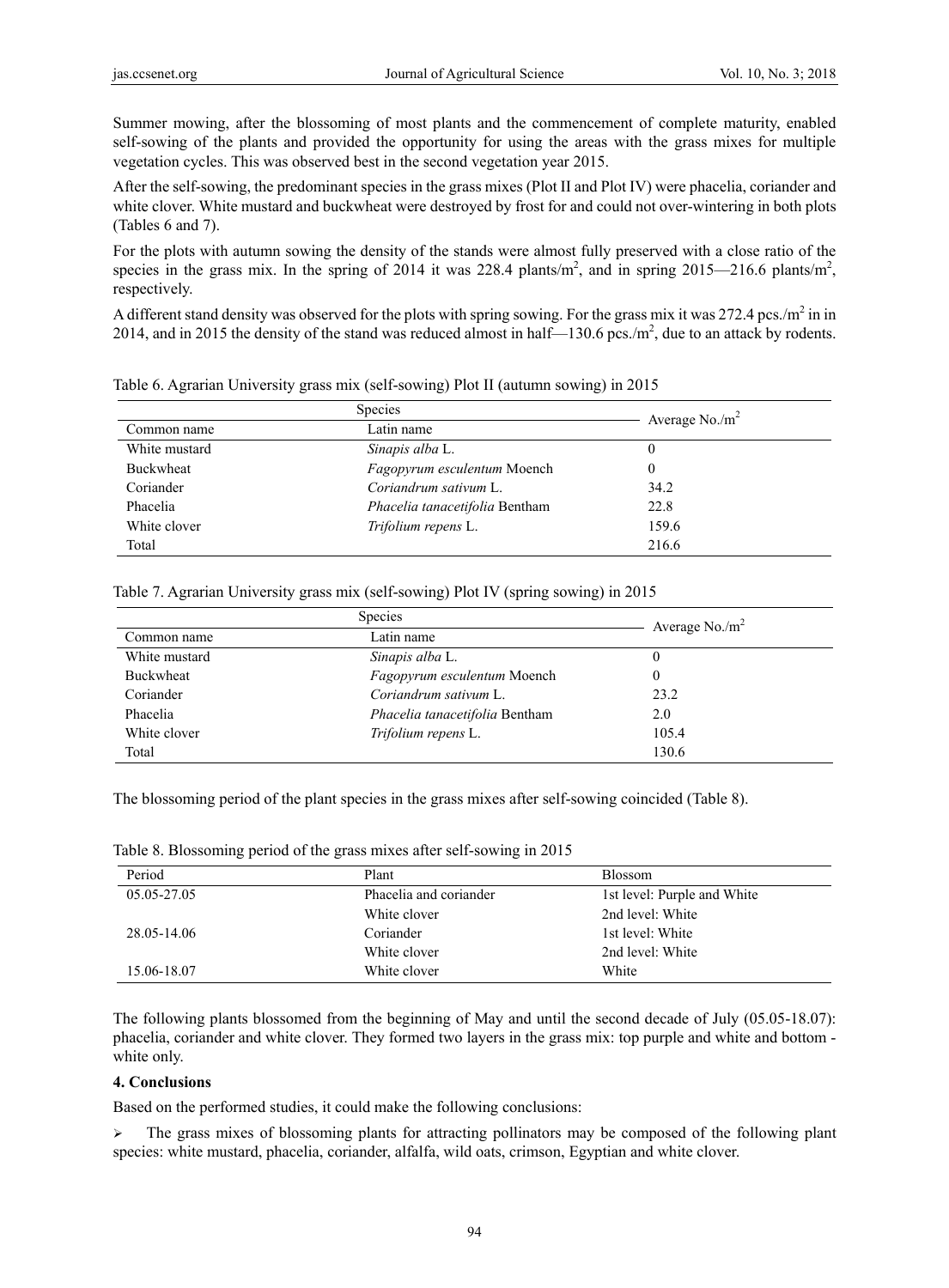Summer mowing, after the blossoming of most plants and the commencement of complete maturity, enabled self-sowing of the plants and provided the opportunity for using the areas with the grass mixes for multiple vegetation cycles. This was observed best in the second vegetation year 2015.

After the self-sowing, the predominant species in the grass mixes (Plot ІІ and Plot ІV) were phacelia, coriander and white clover. White mustard and buckwheat were destroyed by frost for and could not over-wintering in both plots (Tables 6 and 7).

For the plots with autumn sowing the density of the stands were almost fully preserved with a close ratio of the species in the grass mix. In the spring of 2014 it was 228.4 plants/m<sup>2</sup>, and in spring 2015—216.6 plants/m<sup>2</sup>, respectively.

A different stand density was observed for the plots with spring sowing. For the grass mix it was 272.4 pcs./m<sup>2</sup> in in 2014, and in 2015 the density of the stand was reduced almost in half—130.6 pcs./m<sup>2</sup>, due to an attack by rodents.

|                  | <b>Species</b>                 | Average $No./m^2$ |
|------------------|--------------------------------|-------------------|
| Common name      | Latin name                     |                   |
| White mustard    | Sinapis alba L.                | 0                 |
| <b>Buckwheat</b> | Fagopyrum esculentum Moench    | 0                 |
| Coriander        | Coriandrum sativum L.          | 34.2              |
| Phacelia         | Phacelia tanacetifolia Bentham | 22.8              |
| White clover     | Trifolium repens L.            | 159.6             |
| Total            |                                | 216.6             |

Table 6. Agrarian University grass mix (self-sowing) Plot ІІ (autumn sowing) in 2015

|  |  | Table 7. Agrarian University grass mix (self-sowing) Plot IV (spring sowing) in 2015 |  |  |
|--|--|--------------------------------------------------------------------------------------|--|--|
|  |  |                                                                                      |  |  |

|               | <b>Species</b>                 | Average $No./m^2$ |
|---------------|--------------------------------|-------------------|
| Common name   | Latin name                     |                   |
| White mustard | Sinapis alba L.                |                   |
| Buckwheat     | Fagopyrum esculentum Moench    | 0                 |
| Coriander     | Coriandrum sativum L.          | 23.2              |
| Phacelia      | Phacelia tanacetifolia Bentham | 2.0               |
| White clover  | Trifolium repens L.            | 105.4             |
| Total         |                                | 130.6             |

The blossoming period of the plant species in the grass mixes after self-sowing coincided (Table 8).

|  | Table 8. Blossoming period of the grass mixes after self-sowing in 2015 |  |  |  |
|--|-------------------------------------------------------------------------|--|--|--|
|  |                                                                         |  |  |  |

| Period      | Plant                  | <b>Blossom</b>              |
|-------------|------------------------|-----------------------------|
| 05.05-27.05 | Phacelia and coriander | 1st level: Purple and White |
|             | White clover           | 2nd level: White            |
| 28.05-14.06 | Coriander              | 1st level: White            |
|             | White clover           | 2nd level: White            |
| 15.06-18.07 | White clover           | White                       |

The following plants blossomed from the beginning of May and until the second decade of July (05.05-18.07): phacelia, coriander and white clover. They formed two layers in the grass mix: top purple and white and bottom white only.

### **4. Conclusions**

Based on the performed studies, it could make the following conclusions:

 $\triangleright$  The grass mixes of blossoming plants for attracting pollinators may be composed of the following plant species: white mustard, phacelia, coriander, alfalfa, wild oats, crimson, Egyptian and white clover.